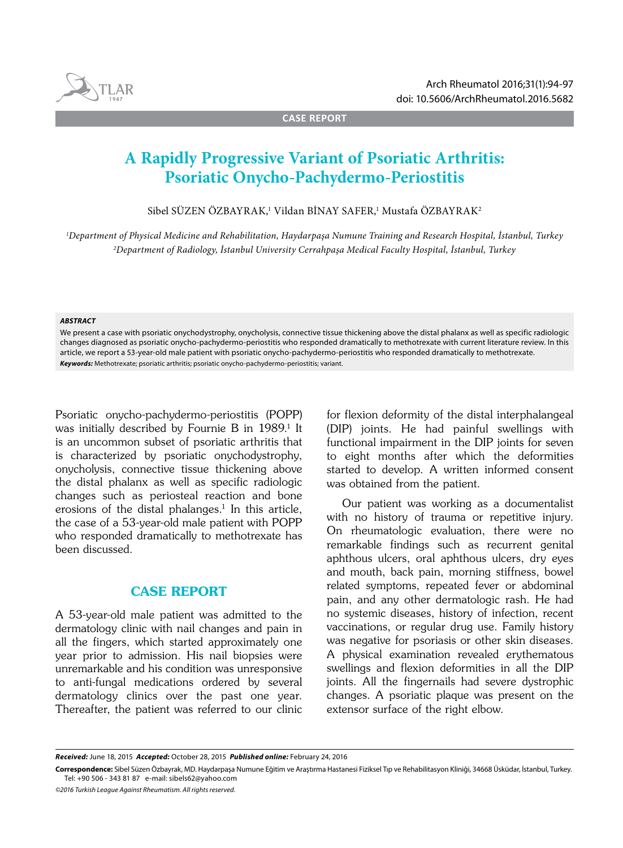

**CASE REPORT**

# **A Rapidly Progressive Variant of Psoriatic Arthritis: Psoriatic Onycho-Pachydermo-Periostitis**

Sibel SÜZEN ÖZBAYRAK,<sup>ı</sup> Vildan BİNAY SAFER,<sup>ı</sup> Mustafa ÖZBAYRAK<sup>2</sup>

*1 Department of Physical Medicine and Rehabilitation, Haydarpaşa Numune Training and Research Hospital, İstanbul, Turkey 2 Department of Radiology, İstanbul University Cerrahpaşa Medical Faculty Hospital, İstanbul, Turkey*

#### *ABSTRACT*

We present a case with psoriatic onychodystrophy, onycholysis, connective tissue thickening above the distal phalanx as well as specific radiologic changes diagnosed as psoriatic onycho-pachydermo-periostitis who responded dramatically to methotrexate with current literature review. In this article, we report a 53-year-old male patient with psoriatic onycho-pachydermo-periostitis who responded dramatically to methotrexate. *Keywords:* Methotrexate; psoriatic arthritis; psoriatic onycho-pachydermo-periostitis; variant.

Psoriatic onycho‐pachydermo‐periostitis (POPP) was initially described by Fournie B in 1989.<sup>1</sup> It is an uncommon subset of psoriatic arthritis that is characterized by psoriatic onychodystrophy, onycholysis, connective tissue thickening above the distal phalanx as well as specific radiologic changes such as periosteal reaction and bone erosions of the distal phalanges.<sup>1</sup> In this article, the case of a 53-year-old male patient with POPP who responded dramatically to methotrexate has been discussed.

## CASE REPORT

A 53-year-old male patient was admitted to the dermatology clinic with nail changes and pain in all the fingers, which started approximately one year prior to admission. His nail biopsies were unremarkable and his condition was unresponsive to anti-fungal medications ordered by several dermatology clinics over the past one year. Thereafter, the patient was referred to our clinic for flexion deformity of the distal interphalangeal (DIP) joints. He had painful swellings with functional impairment in the DIP joints for seven to eight months after which the deformities started to develop. A written informed consent was obtained from the patient.

Our patient was working as a documentalist with no history of trauma or repetitive injury. On rheumatologic evaluation, there were no remarkable findings such as recurrent genital aphthous ulcers, oral aphthous ulcers, dry eyes and mouth, back pain, morning stiffness, bowel related symptoms, repeated fever or abdominal pain, and any other dermatologic rash. He had no systemic diseases, history of infection, recent vaccinations, or regular drug use. Family history was negative for psoriasis or other skin diseases. A physical examination revealed erythematous swellings and flexion deformities in all the DIP joints. All the fingernails had severe dystrophic changes. A psoriatic plaque was present on the extensor surface of the right elbow.

*Received:* June 18, 2015 *Accepted:* October 28, 2015 *Published online:* February 24, 2016

**Correspondence:** Sibel Süzen Özbayrak, MD. Haydarpaşa Numune Eğitim ve Araştırma Hastanesi Fiziksel Tıp ve Rehabilitasyon Kliniği, 34668 Üsküdar, İstanbul, Turkey. Tel: +90 506 - 343 81 87 e-mail: sibels62@yahoo.com

*<sup>©2016</sup> Turkish League Against Rheumatism. All rights reserved.*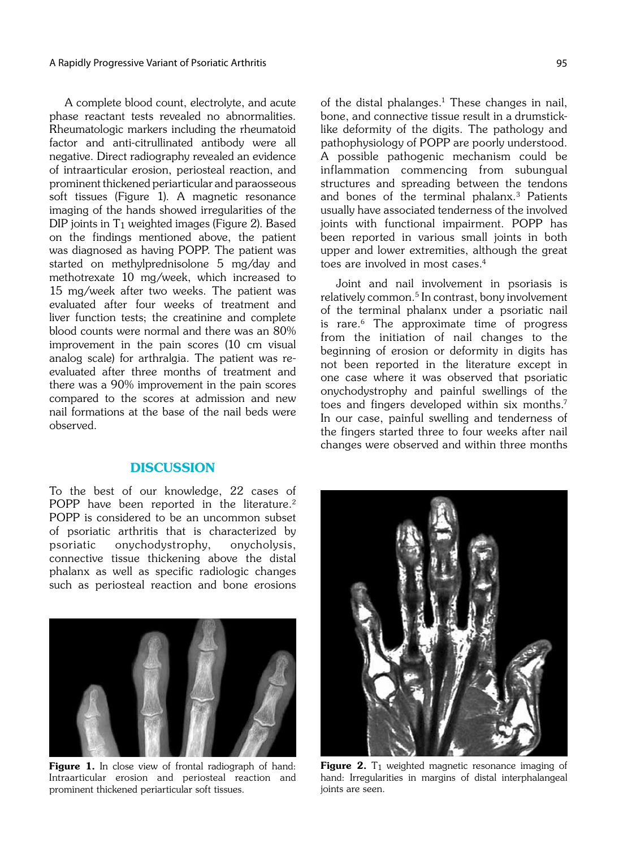A complete blood count, electrolyte, and acute phase reactant tests revealed no abnormalities. Rheumatologic markers including the rheumatoid factor and anti-citrullinated antibody were all negative. Direct radiography revealed an evidence of intraarticular erosion, periosteal reaction, and prominent thickened periarticular and paraosseous soft tissues (Figure 1). A magnetic resonance imaging of the hands showed irregularities of the DIP joints in T1 weighted images (Figure 2). Based on the findings mentioned above, the patient was diagnosed as having POPP. The patient was started on methylprednisolone 5 mg/day and methotrexate 10 mg/week, which increased to 15 mg/week after two weeks. The patient was evaluated after four weeks of treatment and liver function tests; the creatinine and complete blood counts were normal and there was an 80% improvement in the pain scores (10 cm visual analog scale) for arthralgia. The patient was re‐ evaluated after three months of treatment and there was a 90% improvement in the pain scores compared to the scores at admission and new nail formations at the base of the nail beds were observed.

### **DISCUSSION**

To the best of our knowledge, 22 cases of POPP have been reported in the literature.<sup>2</sup> POPP is considered to be an uncommon subset of psoriatic arthritis that is characterized by psoriatic onychodystrophy, onycholysis, connective tissue thickening above the distal phalanx as well as specific radiologic changes such as periosteal reaction and bone erosions

of the distal phalanges. $1$  These changes in nail, bone, and connective tissue result in a drumsticklike deformity of the digits. The pathology and pathophysiology of POPP are poorly understood. A possible pathogenic mechanism could be inflammation commencing from subungual structures and spreading between the tendons and bones of the terminal phalanx.3 Patients usually have associated tenderness of the involved joints with functional impairment. POPP has been reported in various small joints in both upper and lower extremities, although the great

toes are involved in most cases.<sup>4</sup>

Joint and nail involvement in psoriasis is relatively common.<sup>5</sup> In contrast, bony involvement of the terminal phalanx under a psoriatic nail is rare.<sup>6</sup> The approximate time of progress from the initiation of nail changes to the beginning of erosion or deformity in digits has not been reported in the literature except in one case where it was observed that psoriatic onychodystrophy and painful swellings of the toes and fingers developed within six months.<sup>7</sup> In our case, painful swelling and tenderness of the fingers started three to four weeks after nail changes were observed and within three months



Figure 1. In close view of frontal radiograph of hand: Intraarticular erosion and periosteal reaction and prominent thickened periarticular soft tissues.



**Figure 2.** T<sub>1</sub> weighted magnetic resonance imaging of hand: Irregularities in margins of distal interphalangeal joints are seen.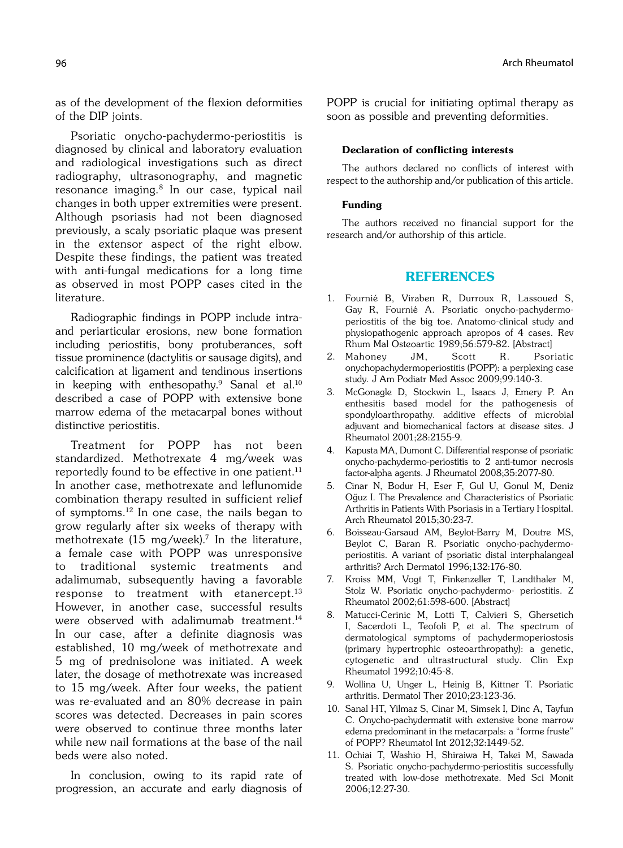as of the development of the flexion deformities of the DIP joints.

Psoriatic onycho-pachydermo-periostitis is diagnosed by clinical and laboratory evaluation and radiological investigations such as direct radiography, ultrasonography, and magnetic resonance imaging.8 In our case, typical nail changes in both upper extremities were present. Although psoriasis had not been diagnosed previously, a scaly psoriatic plaque was present in the extensor aspect of the right elbow. Despite these findings, the patient was treated with anti-fungal medications for a long time as observed in most POPP cases cited in the literature.

Radiographic findings in POPP include intraand periarticular erosions, new bone formation including periostitis, bony protuberances, soft tissue prominence (dactylitis or sausage digits), and calcification at ligament and tendinous insertions in keeping with enthesopathy.<sup>9</sup> Sanal et al.<sup>10</sup> described a case of POPP with extensive bone marrow edema of the metacarpal bones without distinctive periostitis.

Treatment for POPP has not been standardized. Methotrexate 4 mg/week was reportedly found to be effective in one patient.<sup>11</sup> In another case, methotrexate and leflunomide combination therapy resulted in sufficient relief of symptoms.12 In one case, the nails began to grow regularly after six weeks of therapy with methotrexate  $(15 \text{ mg/week})$ .<sup>7</sup> In the literature, a female case with POPP was unresponsive to traditional systemic treatments and adalimumab, subsequently having a favorable response to treatment with etanercept.<sup>13</sup> However, in another case, successful results were observed with adalimumab treatment.<sup>14</sup> In our case, after a definite diagnosis was established, 10 mg/week of methotrexate and 5 mg of prednisolone was initiated. A week later, the dosage of methotrexate was increased to 15 mg/week. After four weeks, the patient was re-evaluated and an 80% decrease in pain scores was detected. Decreases in pain scores were observed to continue three months later while new nail formations at the base of the nail beds were also noted.

In conclusion, owing to its rapid rate of progression, an accurate and early diagnosis of POPP is crucial for initiating optimal therapy as soon as possible and preventing deformities.

#### Declaration of conflicting interests

The authors declared no conflicts of interest with respect to the authorship and/or publication of this article.

#### Funding

The authors received no financial support for the research and/or authorship of this article.

## REFERENCES

- 1. Fournié B, Viraben R, Durroux R, Lassoued S, Gay R, Fournié A. Psoriatic onycho-pachydermoperiostitis of the big toe. Anatomo-clinical study and physiopathogenic approach apropos of 4 cases. Rev Rhum Mal Osteoartic 1989;56:579-82. [Abstract]
- 2. Mahoney JM, Scott R. Psoriatic onychopachydermoperiostitis (POPP): a perplexing case study. J Am Podiatr Med Assoc 2009;99:140-3.
- 3. McGonagle D, Stockwin L, Isaacs J, Emery P. An enthesitis based model for the pathogenesis of spondyloarthropathy. additive effects of microbial adjuvant and biomechanical factors at disease sites. J Rheumatol 2001;28:2155-9.
- 4. Kapusta MA, Dumont C. Differential response of psoriatic onycho-pachydermo-periostitis to 2 anti-tumor necrosis factor-alpha agents. J Rheumatol 2008;35:2077-80.
- 5. Cinar N, Bodur H, Eser F, Gul U, Gonul M, Deniz Oğuz I. The Prevalence and Characteristics of Psoriatic Arthritis in Patients With Psoriasis in a Tertiary Hospital. Arch Rheumatol 2015;30:23-7.
- 6. Boisseau-Garsaud AM, Beylot-Barry M, Doutre MS, Beylot C, Baran R. Psoriatic onycho-pachydermoperiostitis. A variant of psoriatic distal interphalangeal arthritis? Arch Dermatol 1996;132:176-80.
- 7. Kroiss MM, Vogt T, Finkenzeller T, Landthaler M, Stolz W. Psoriatic onycho-pachydermo- periostitis. Z Rheumatol 2002;61:598-600. [Abstract]
- 8. Matucci-Cerinic M, Lotti T, Calvieri S, Ghersetich I, Sacerdoti L, Teofoli P, et al. The spectrum of dermatological symptoms of pachydermoperiostosis (primary hypertrophic osteoarthropathy): a genetic, cytogenetic and ultrastructural study. Clin Exp Rheumatol 1992;10:45-8.
- 9. Wollina U, Unger L, Heinig B, Kittner T. Psoriatic arthritis. Dermatol Ther 2010;23:123-36.
- 10. Sanal HT, Yilmaz S, Cinar M, Simsek I, Dinc A, Tayfun C. Onycho-pachydermatit with extensive bone marrow edema predominant in the metacarpals: a "forme fruste" of POPP? Rheumatol Int 2012;32:1449-52.
- 11. Ochiai T, Washio H, Shiraiwa H, Takei M, Sawada S. Psoriatic onycho-pachydermo-periostitis successfully treated with low-dose methotrexate. Med Sci Monit 2006;12:27-30.